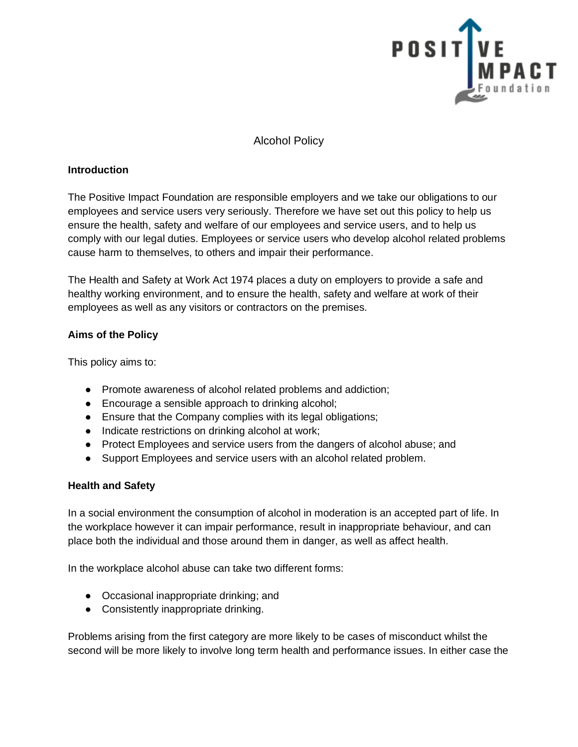

## Alcohol Policy

#### **Introduction**

The Positive Impact Foundation are responsible employers and we take our obligations to our employees and service users very seriously. Therefore we have set out this policy to help us ensure the health, safety and welfare of our employees and service users, and to help us comply with our legal duties. Employees or service users who develop alcohol related problems cause harm to themselves, to others and impair their performance.

The Health and Safety at Work Act 1974 places a duty on employers to provide a safe and healthy working environment, and to ensure the health, safety and welfare at work of their employees as well as any visitors or contractors on the premises.

### **Aims of the Policy**

This policy aims to:

- Promote awareness of alcohol related problems and addiction;
- Encourage a sensible approach to drinking alcohol;
- Ensure that the Company complies with its legal obligations;
- Indicate restrictions on drinking alcohol at work;
- Protect Employees and service users from the dangers of alcohol abuse; and
- Support Employees and service users with an alcohol related problem.

## **Health and Safety**

In a social environment the consumption of alcohol in moderation is an accepted part of life. In the workplace however it can impair performance, result in inappropriate behaviour, and can place both the individual and those around them in danger, as well as affect health.

In the workplace alcohol abuse can take two different forms:

- Occasional inappropriate drinking; and
- Consistently inappropriate drinking.

Problems arising from the first category are more likely to be cases of misconduct whilst the second will be more likely to involve long term health and performance issues. In either case the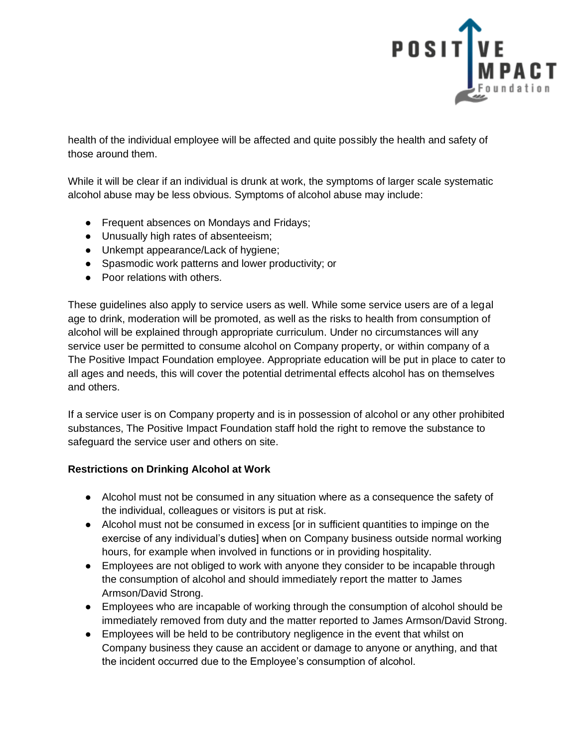

health of the individual employee will be affected and quite possibly the health and safety of those around them.

While it will be clear if an individual is drunk at work, the symptoms of larger scale systematic alcohol abuse may be less obvious. Symptoms of alcohol abuse may include:

- Frequent absences on Mondays and Fridays;
- Unusually high rates of absenteeism;
- Unkempt appearance/Lack of hygiene;
- Spasmodic work patterns and lower productivity; or
- Poor relations with others.

These guidelines also apply to service users as well. While some service users are of a legal age to drink, moderation will be promoted, as well as the risks to health from consumption of alcohol will be explained through appropriate curriculum. Under no circumstances will any service user be permitted to consume alcohol on Company property, or within company of a The Positive Impact Foundation employee. Appropriate education will be put in place to cater to all ages and needs, this will cover the potential detrimental effects alcohol has on themselves and others.

If a service user is on Company property and is in possession of alcohol or any other prohibited substances, The Positive Impact Foundation staff hold the right to remove the substance to safeguard the service user and others on site.

#### **Restrictions on Drinking Alcohol at Work**

- Alcohol must not be consumed in any situation where as a consequence the safety of the individual, colleagues or visitors is put at risk.
- Alcohol must not be consumed in excess [or in sufficient quantities to impinge on the exercise of any individual's duties] when on Company business outside normal working hours, for example when involved in functions or in providing hospitality.
- Employees are not obliged to work with anyone they consider to be incapable through the consumption of alcohol and should immediately report the matter to James Armson/David Strong.
- Employees who are incapable of working through the consumption of alcohol should be immediately removed from duty and the matter reported to James Armson/David Strong.
- Employees will be held to be contributory negligence in the event that whilst on Company business they cause an accident or damage to anyone or anything, and that the incident occurred due to the Employee's consumption of alcohol.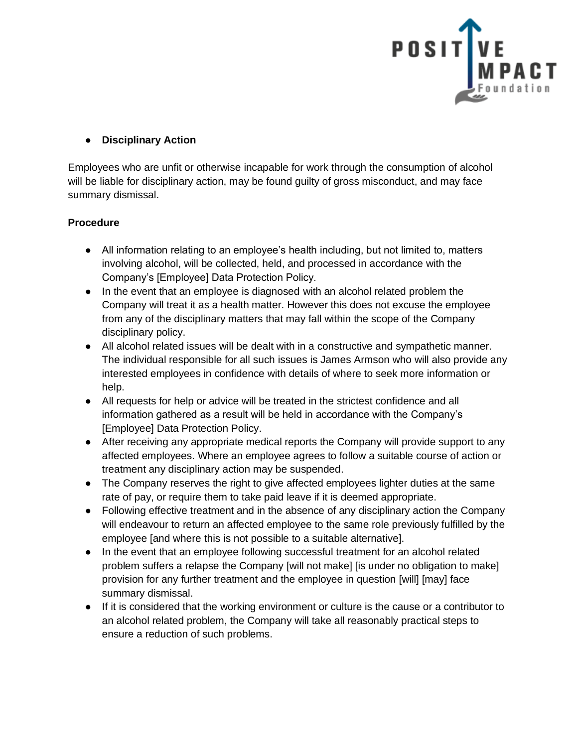

# ● **Disciplinary Action**

Employees who are unfit or otherwise incapable for work through the consumption of alcohol will be liable for disciplinary action, may be found guilty of gross misconduct, and may face summary dismissal.

## **Procedure**

- All information relating to an employee's health including, but not limited to, matters involving alcohol, will be collected, held, and processed in accordance with the Company's [Employee] Data Protection Policy.
- In the event that an employee is diagnosed with an alcohol related problem the Company will treat it as a health matter. However this does not excuse the employee from any of the disciplinary matters that may fall within the scope of the Company disciplinary policy.
- All alcohol related issues will be dealt with in a constructive and sympathetic manner. The individual responsible for all such issues is James Armson who will also provide any interested employees in confidence with details of where to seek more information or help.
- All requests for help or advice will be treated in the strictest confidence and all information gathered as a result will be held in accordance with the Company's [Employee] Data Protection Policy.
- After receiving any appropriate medical reports the Company will provide support to any affected employees. Where an employee agrees to follow a suitable course of action or treatment any disciplinary action may be suspended.
- The Company reserves the right to give affected employees lighter duties at the same rate of pay, or require them to take paid leave if it is deemed appropriate.
- Following effective treatment and in the absence of any disciplinary action the Company will endeavour to return an affected employee to the same role previously fulfilled by the employee [and where this is not possible to a suitable alternative].
- In the event that an employee following successful treatment for an alcohol related problem suffers a relapse the Company [will not make] [is under no obligation to make] provision for any further treatment and the employee in question [will] [may] face summary dismissal.
- If it is considered that the working environment or culture is the cause or a contributor to an alcohol related problem, the Company will take all reasonably practical steps to ensure a reduction of such problems.